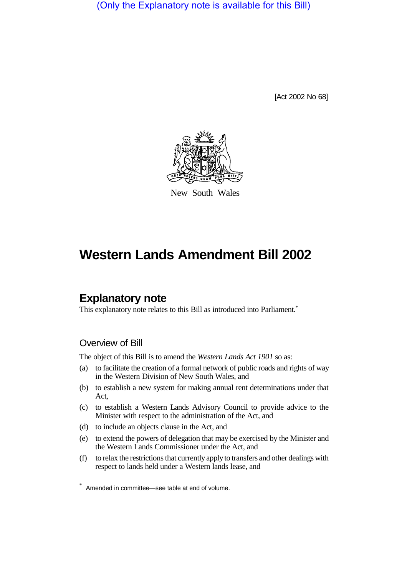(Only the Explanatory note is available for this Bill)

[Act 2002 No 68]



New South Wales

# **Western Lands Amendment Bill 2002**

# **Explanatory note**

This explanatory note relates to this Bill as introduced into Parliament.<sup>\*</sup>

## Overview of Bill

The object of this Bill is to amend the *Western Lands Act 1901* so as:

- (a) to facilitate the creation of a formal network of public roads and rights of way in the Western Division of New South Wales, and
- (b) to establish a new system for making annual rent determinations under that Act,
- (c) to establish a Western Lands Advisory Council to provide advice to the Minister with respect to the administration of the Act, and
- (d) to include an objects clause in the Act, and
- (e) to extend the powers of delegation that may be exercised by the Minister and the Western Lands Commissioner under the Act, and
- (f) to relax the restrictions that currently apply to transfers and other dealings with respect to lands held under a Western lands lease, and

Amended in committee—see table at end of volume.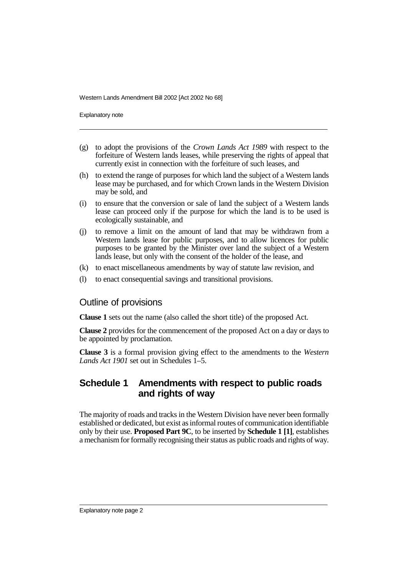Explanatory note

- (g) to adopt the provisions of the *Crown Lands Act 1989* with respect to the forfeiture of Western lands leases, while preserving the rights of appeal that currently exist in connection with the forfeiture of such leases, and
- (h) to extend the range of purposes for which land the subject of a Western lands lease may be purchased, and for which Crown lands in the Western Division may be sold, and
- (i) to ensure that the conversion or sale of land the subject of a Western lands lease can proceed only if the purpose for which the land is to be used is ecologically sustainable, and
- (j) to remove a limit on the amount of land that may be withdrawn from a Western lands lease for public purposes, and to allow licences for public purposes to be granted by the Minister over land the subject of a Western lands lease, but only with the consent of the holder of the lease, and
- (k) to enact miscellaneous amendments by way of statute law revision, and
- (l) to enact consequential savings and transitional provisions.

## Outline of provisions

**Clause 1** sets out the name (also called the short title) of the proposed Act.

**Clause 2** provides for the commencement of the proposed Act on a day or days to be appointed by proclamation.

**Clause 3** is a formal provision giving effect to the amendments to the *Western Lands Act 1901* set out in Schedules 1–5.

# **Schedule 1 Amendments with respect to public roads and rights of way**

The majority of roads and tracks in the Western Division have never been formally established or dedicated, but exist as informal routes of communication identifiable only by their use. **Proposed Part 9C**, to be inserted by **Schedule 1 [1]**, establishes a mechanism for formally recognising their status as public roads and rights of way.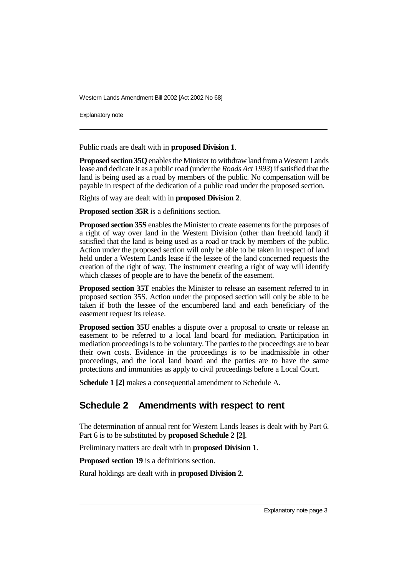Explanatory note

Public roads are dealt with in **proposed Division 1**.

**Proposed section 35Q**enables the Minister to withdraw land from a Western Lands lease and dedicate it as a public road (under the *Roads Act 1993*) if satisfied that the land is being used as a road by members of the public. No compensation will be payable in respect of the dedication of a public road under the proposed section.

Rights of way are dealt with in **proposed Division 2**.

**Proposed section 35R** is a definitions section.

**Proposed section 35S** enables the Minister to create easements for the purposes of a right of way over land in the Western Division (other than freehold land) if satisfied that the land is being used as a road or track by members of the public. Action under the proposed section will only be able to be taken in respect of land held under a Western Lands lease if the lessee of the land concerned requests the creation of the right of way. The instrument creating a right of way will identify which classes of people are to have the benefit of the easement.

**Proposed section 35T** enables the Minister to release an easement referred to in proposed section 35S. Action under the proposed section will only be able to be taken if both the lessee of the encumbered land and each beneficiary of the easement request its release.

**Proposed section 35U** enables a dispute over a proposal to create or release an easement to be referred to a local land board for mediation. Participation in mediation proceedings is to be voluntary. The parties to the proceedings are to bear their own costs. Evidence in the proceedings is to be inadmissible in other proceedings, and the local land board and the parties are to have the same protections and immunities as apply to civil proceedings before a Local Court.

**Schedule 1 [2]** makes a consequential amendment to Schedule A.

# **Schedule 2 Amendments with respect to rent**

The determination of annual rent for Western Lands leases is dealt with by Part 6. Part 6 is to be substituted by **proposed Schedule 2 [2]**.

Preliminary matters are dealt with in **proposed Division 1**.

**Proposed section 19** is a definitions section.

Rural holdings are dealt with in **proposed Division 2**.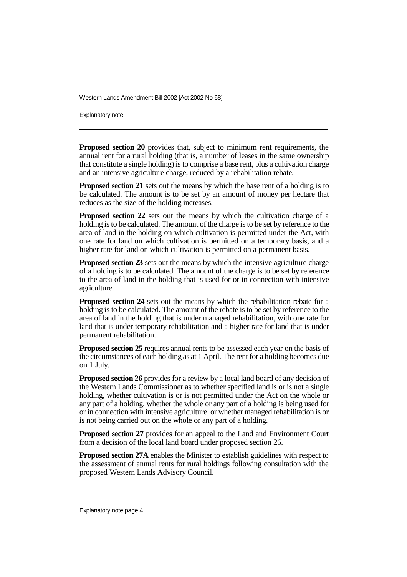Explanatory note

**Proposed section 20** provides that, subject to minimum rent requirements, the annual rent for a rural holding (that is, a number of leases in the same ownership that constitute a single holding) is to comprise a base rent, plus a cultivation charge and an intensive agriculture charge, reduced by a rehabilitation rebate.

**Proposed section 21** sets out the means by which the base rent of a holding is to be calculated. The amount is to be set by an amount of money per hectare that reduces as the size of the holding increases.

**Proposed section 22** sets out the means by which the cultivation charge of a holding is to be calculated. The amount of the charge is to be set by reference to the area of land in the holding on which cultivation is permitted under the Act, with one rate for land on which cultivation is permitted on a temporary basis, and a higher rate for land on which cultivation is permitted on a permanent basis.

**Proposed section 23** sets out the means by which the intensive agriculture charge of a holding is to be calculated. The amount of the charge is to be set by reference to the area of land in the holding that is used for or in connection with intensive agriculture.

**Proposed section 24** sets out the means by which the rehabilitation rebate for a holding is to be calculated. The amount of the rebate is to be set by reference to the area of land in the holding that is under managed rehabilitation, with one rate for land that is under temporary rehabilitation and a higher rate for land that is under permanent rehabilitation.

**Proposed section 25** requires annual rents to be assessed each year on the basis of the circumstances of each holding as at 1 April. The rent for a holding becomes due on 1 July.

**Proposed section 26** provides for a review by a local land board of any decision of the Western Lands Commissioner as to whether specified land is or is not a single holding, whether cultivation is or is not permitted under the Act on the whole or any part of a holding, whether the whole or any part of a holding is being used for or in connection with intensive agriculture, or whether managed rehabilitation is or is not being carried out on the whole or any part of a holding.

**Proposed section 27** provides for an appeal to the Land and Environment Court from a decision of the local land board under proposed section 26.

**Proposed section 27A** enables the Minister to establish guidelines with respect to the assessment of annual rents for rural holdings following consultation with the proposed Western Lands Advisory Council.

Explanatory note page 4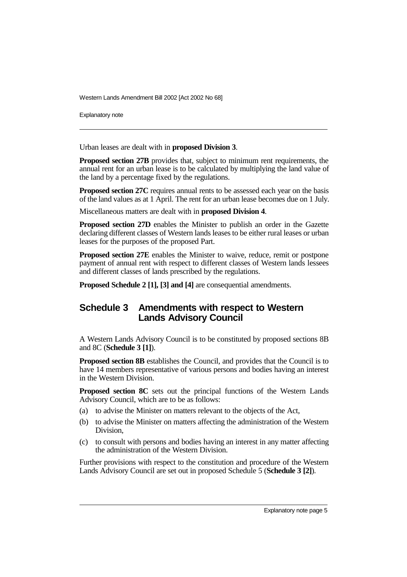Explanatory note

Urban leases are dealt with in **proposed Division 3**.

**Proposed section 27B** provides that, subject to minimum rent requirements, the annual rent for an urban lease is to be calculated by multiplying the land value of the land by a percentage fixed by the regulations.

**Proposed section 27C** requires annual rents to be assessed each year on the basis of the land values as at 1 April. The rent for an urban lease becomes due on 1 July.

Miscellaneous matters are dealt with in **proposed Division 4**.

**Proposed section 27D** enables the Minister to publish an order in the Gazette declaring different classes of Western lands leases to be either rural leases or urban leases for the purposes of the proposed Part.

**Proposed section 27E** enables the Minister to waive, reduce, remit or postpone payment of annual rent with respect to different classes of Western lands lessees and different classes of lands prescribed by the regulations.

**Proposed Schedule 2 [1], [3] and [4]** are consequential amendments.

# **Schedule 3 Amendments with respect to Western Lands Advisory Council**

A Western Lands Advisory Council is to be constituted by proposed sections 8B and 8C (**Schedule 3 [1]**).

**Proposed section 8B** establishes the Council, and provides that the Council is to have 14 members representative of various persons and bodies having an interest in the Western Division.

**Proposed section 8C** sets out the principal functions of the Western Lands Advisory Council, which are to be as follows:

- (a) to advise the Minister on matters relevant to the objects of the Act,
- (b) to advise the Minister on matters affecting the administration of the Western Division,
- (c) to consult with persons and bodies having an interest in any matter affecting the administration of the Western Division.

Further provisions with respect to the constitution and procedure of the Western Lands Advisory Council are set out in proposed Schedule 5 (**Schedule 3 [2]**).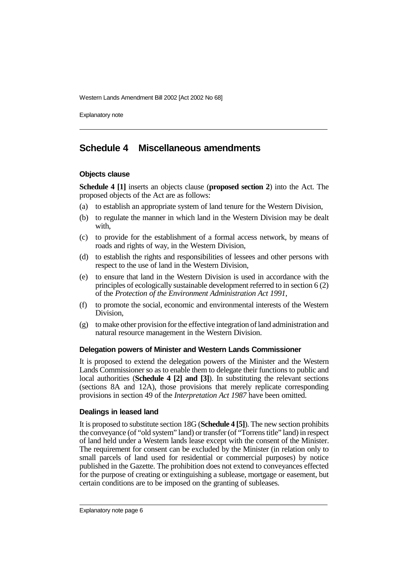Explanatory note

# **Schedule 4 Miscellaneous amendments**

## **Objects clause**

**Schedule 4 [1]** inserts an objects clause (**proposed section 2**) into the Act. The proposed objects of the Act are as follows:

- (a) to establish an appropriate system of land tenure for the Western Division,
- (b) to regulate the manner in which land in the Western Division may be dealt with,
- (c) to provide for the establishment of a formal access network, by means of roads and rights of way, in the Western Division,
- (d) to establish the rights and responsibilities of lessees and other persons with respect to the use of land in the Western Division,
- (e) to ensure that land in the Western Division is used in accordance with the principles of ecologically sustainable development referred to in section 6 (2) of the *Protection of the Environment Administration Act 1991*,
- (f) to promote the social, economic and environmental interests of the Western Division,
- (g) to make other provision for the effective integration of land administration and natural resource management in the Western Division.

## **Delegation powers of Minister and Western Lands Commissioner**

It is proposed to extend the delegation powers of the Minister and the Western Lands Commissioner so as to enable them to delegate their functions to public and local authorities (**Schedule 4 [2] and [3]**). In substituting the relevant sections (sections 8A and 12A), those provisions that merely replicate corresponding provisions in section 49 of the *Interpretation Act 1987* have been omitted.

## **Dealings in leased land**

It is proposed to substitute section 18G (**Schedule 4 [5]**). The new section prohibits the conveyance (of "old system" land) or transfer (of "Torrens title" land) in respect of land held under a Western lands lease except with the consent of the Minister. The requirement for consent can be excluded by the Minister (in relation only to small parcels of land used for residential or commercial purposes) by notice published in the Gazette. The prohibition does not extend to conveyances effected for the purpose of creating or extinguishing a sublease, mortgage or easement, but certain conditions are to be imposed on the granting of subleases.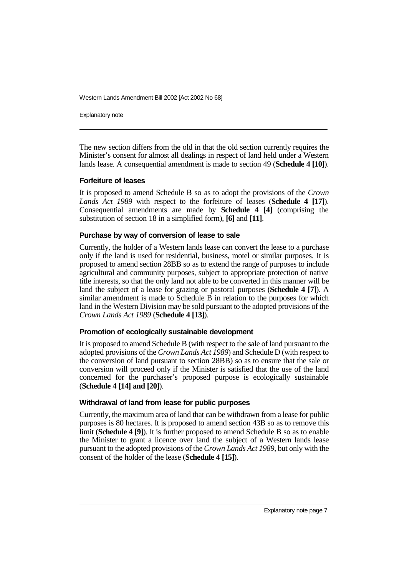Explanatory note

The new section differs from the old in that the old section currently requires the Minister's consent for almost all dealings in respect of land held under a Western lands lease. A consequential amendment is made to section 49 (**Schedule 4 [10]**).

#### **Forfeiture of leases**

It is proposed to amend Schedule B so as to adopt the provisions of the *Crown Lands Act 1989* with respect to the forfeiture of leases (**Schedule 4 [17]**). Consequential amendments are made by **Schedule 4 [4]** (comprising the substitution of section 18 in a simplified form), **[6]** and **[11]**.

#### **Purchase by way of conversion of lease to sale**

Currently, the holder of a Western lands lease can convert the lease to a purchase only if the land is used for residential, business, motel or similar purposes. It is proposed to amend section 28BB so as to extend the range of purposes to include agricultural and community purposes, subject to appropriate protection of native title interests, so that the only land not able to be converted in this manner will be land the subject of a lease for grazing or pastoral purposes (**Schedule 4 [7]**). A similar amendment is made to Schedule B in relation to the purposes for which land in the Western Division may be sold pursuant to the adopted provisions of the *Crown Lands Act 1989* (**Schedule 4 [13]**).

## **Promotion of ecologically sustainable development**

It is proposed to amend Schedule B (with respect to the sale of land pursuant to the adopted provisions of the *Crown Lands Act 1989*) and Schedule D (with respect to the conversion of land pursuant to section 28BB) so as to ensure that the sale or conversion will proceed only if the Minister is satisfied that the use of the land concerned for the purchaser's proposed purpose is ecologically sustainable (**Schedule 4 [14] and [20]**).

## **Withdrawal of land from lease for public purposes**

Currently, the maximum area of land that can be withdrawn from a lease for public purposes is 80 hectares. It is proposed to amend section 43B so as to remove this limit (**Schedule 4 [9]**). It is further proposed to amend Schedule B so as to enable the Minister to grant a licence over land the subject of a Western lands lease pursuant to the adopted provisions of the *Crown Lands Act 1989*, but only with the consent of the holder of the lease (**Schedule 4 [15]**).